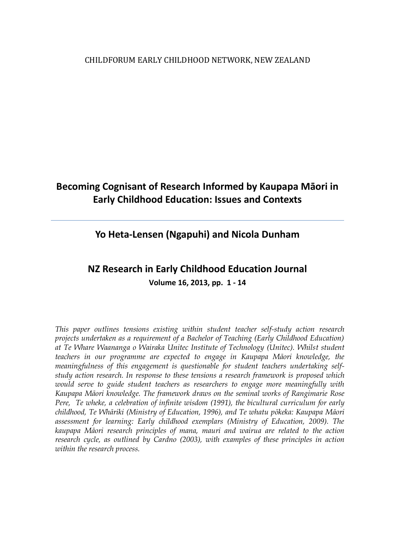# **Becoming Cognisant of Research Informed by Kaupapa Māori in Early Childhood Education: Issues and Contexts**

## **Yo Heta-Lensen (Ngapuhi) and Nicola Dunham**

# **NZ Research in Early Childhood Education Journal Volume 16, 2013, pp. 1 - 14**

*This paper outlines tensions existing within student teacher self-study action research projects undertaken as a requirement of a Bachelor of Teaching (Early Childhood Education) at Te Whare Waananga o Wairaka Unitec Institute of Technology (Unitec). Whilst student teachers in our programme are expected to engage in Kaupapa Māori knowledge, the meaningfulness of this engagement is questionable for student teachers undertaking selfstudy action research. In response to these tensions a research framework is proposed which would serve to guide student teachers as researchers to engage more meaningfully with Kaupapa Māori knowledge. The framework draws on the seminal works of Rangimarie Rose Pere, Te wheke, a celebration of infinite wisdom (1991), the bicultural curriculum for early childhood, Te Whāriki (Ministry of Education, 1996), and Te whatu pōkeka: Kaupapa Māori assessment for learning: Early childhood exemplars (Ministry of Education, 2009). The kaupapa Māori research principles of mana, mauri and wairua are related to the action research cycle, as outlined by Cardno (2003), with examples of these principles in action within the research process.*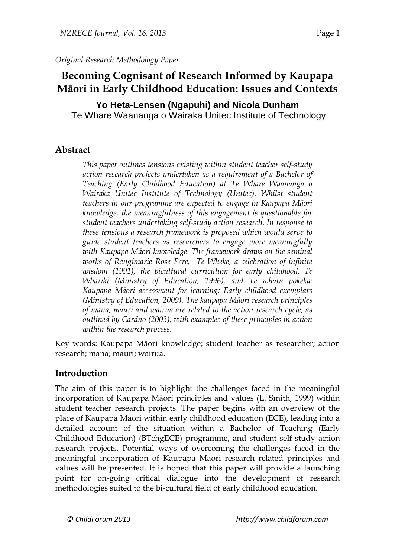# **Becoming Cognisant of Research Informed by Kaupapa Māori in Early Childhood Education: Issues and Contexts**

**Yo Heta-Lensen (Ngapuhi) and Nicola Dunham** Te Whare Waananga o Wairaka Unitec Institute of Technology

## **Abstract**

*This paper outlines tensions existing within student teacher self-study action research projects undertaken as a requirement of a Bachelor of Teaching (Early Childhood Education) at Te Whare Waananga o Wairaka Unitec Institute of Technology (Unitec). Whilst student teachers in our programme are expected to engage in Kaupapa Māori knowledge, the meaningfulness of this engagement is questionable for student teachers undertaking self-study action research. In response to these tensions a research framework is proposed which would serve to guide student teachers as researchers to engage more meaningfully with Kaupapa Māori knowledge. The framework draws on the seminal works of Rangimarie Rose Pere, Te Wheke, a celebration of infinite wisdom (1991), the bicultural curriculum for early childhood, Te Whāriki (Ministry of Education, 1996), and Te whatu pōkeka: Kaupapa Māori assessment for learning: Early childhood exemplars (Ministry of Education, 2009). The kaupapa Māori research principles of mana, mauri and wairua are related to the action research cycle, as outlined by Cardno (2003), with examples of these principles in action within the research process.* 

Key words: Kaupapa Māori knowledge; student teacher as researcher; action research; mana; mauri; wairua.

### **Introduction**

The aim of this paper is to highlight the challenges faced in the meaningful incorporation of Kaupapa Māori principles and values (L. Smith, 1999) within student teacher research projects. The paper begins with an overview of the place of Kaupapa Māori within early childhood education (ECE), leading into a detailed account of the situation within a Bachelor of Teaching (Early Childhood Education) (BTchgECE) programme, and student self-study action research projects. Potential ways of overcoming the challenges faced in the meaningful incorporation of Kaupapa Māori research related principles and values will be presented. It is hoped that this paper will provide a launching point for on-going critical dialogue into the development of research methodologies suited to the bi-cultural field of early childhood education.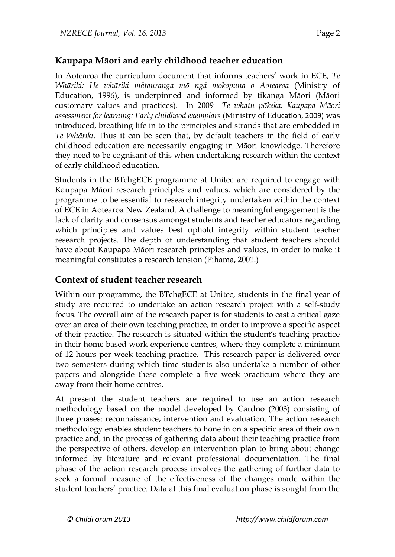## **Kaupapa Māori and early childhood teacher education**

In Aotearoa the curriculum document that informs teachers' work in ECE, *Te Whāriki: He whāriki mātauranga mō ngā mokopuna o Aotearoa* (Ministry of Education, 1996), is underpinned and informed by tikanga Māori (Māori customary values and practices). In 2009 *Te whatu pōkeka: Kaupapa Māori assessment for learning: Early childhood exemplars* (Ministry of Education, 2009) was introduced, breathing life in to the principles and strands that are embedded in *Te Whāriki*. Thus it can be seen that, by default teachers in the field of early childhood education are necessarily engaging in Māori knowledge. Therefore they need to be cognisant of this when undertaking research within the context of early childhood education.

Students in the BTchgECE programme at Unitec are required to engage with Kaupapa Māori research principles and values, which are considered by the programme to be essential to research integrity undertaken within the context of ECE in Aotearoa New Zealand. A challenge to meaningful engagement is the lack of clarity and consensus amongst students and teacher educators regarding which principles and values best uphold integrity within student teacher research projects. The depth of understanding that student teachers should have about Kaupapa Māori research principles and values, in order to make it meaningful constitutes a research tension (Pihama, 2001.)

#### **Context of student teacher research**

Within our programme, the BTchgECE at Unitec, students in the final year of study are required to undertake an action research project with a self-study focus. The overall aim of the research paper is for students to cast a critical gaze over an area of their own teaching practice, in order to improve a specific aspect of their practice. The research is situated within the student's teaching practice in their home based work-experience centres, where they complete a minimum of 12 hours per week teaching practice. This research paper is delivered over two semesters during which time students also undertake a number of other papers and alongside these complete a five week practicum where they are away from their home centres.

At present the student teachers are required to use an action research methodology based on the model developed by Cardno (2003) consisting of three phases: reconnaissance, intervention and evaluation. The action research methodology enables student teachers to hone in on a specific area of their own practice and, in the process of gathering data about their teaching practice from the perspective of others, develop an intervention plan to bring about change informed by literature and relevant professional documentation. The final phase of the action research process involves the gathering of further data to seek a formal measure of the effectiveness of the changes made within the student teachers' practice. Data at this final evaluation phase is sought from the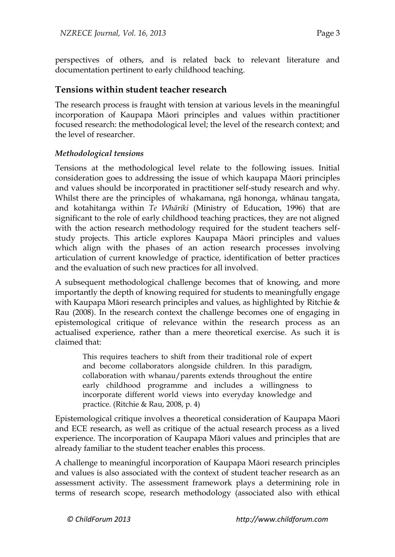perspectives of others, and is related back to relevant literature and documentation pertinent to early childhood teaching.

### **Tensions within student teacher research**

The research process is fraught with tension at various levels in the meaningful incorporation of Kaupapa Māori principles and values within practitioner focused research: the methodological level; the level of the research context; and the level of researcher.

#### *Methodological tensions*

Tensions at the methodological level relate to the following issues. Initial consideration goes to addressing the issue of which kaupapa Māori principles and values should be incorporated in practitioner self-study research and why. Whilst there are the principles of whakamana, ngā hononga, whānau tangata, and kotahitanga within *Te Whāriki* (Ministry of Education, 1996) that are significant to the role of early childhood teaching practices, they are not aligned with the action research methodology required for the student teachers selfstudy projects. This article explores Kaupapa Māori principles and values which align with the phases of an action research processes involving articulation of current knowledge of practice, identification of better practices and the evaluation of such new practices for all involved.

A subsequent methodological challenge becomes that of knowing, and more importantly the depth of knowing required for students to meaningfully engage with Kaupapa Māori research principles and values, as highlighted by Ritchie & Rau (2008). In the research context the challenge becomes one of engaging in epistemological critique of relevance within the research process as an actualised experience, rather than a mere theoretical exercise. As such it is claimed that:

This requires teachers to shift from their traditional role of expert and become collaborators alongside children. In this paradigm, collaboration with whanau/parents extends throughout the entire early childhood programme and includes a willingness to incorporate different world views into everyday knowledge and practice. (Ritchie & Rau, 2008, p. 4)

Epistemological critique involves a theoretical consideration of Kaupapa Māori and ECE research, as well as critique of the actual research process as a lived experience. The incorporation of Kaupapa Māori values and principles that are already familiar to the student teacher enables this process.

A challenge to meaningful incorporation of Kaupapa Māori research principles and values is also associated with the context of student teacher research as an assessment activity. The assessment framework plays a determining role in terms of research scope, research methodology (associated also with ethical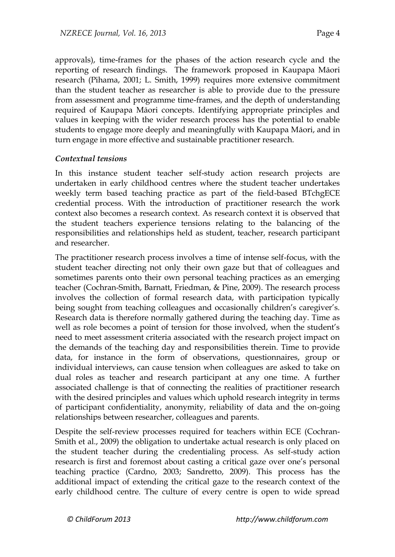approvals), time-frames for the phases of the action research cycle and the reporting of research findings. The framework proposed in Kaupapa Māori research (Pihama, 2001; L. Smith, 1999) requires more extensive commitment than the student teacher as researcher is able to provide due to the pressure from assessment and programme time-frames, and the depth of understanding required of Kaupapa Māori concepts. Identifying appropriate principles and values in keeping with the wider research process has the potential to enable students to engage more deeply and meaningfully with Kaupapa Māori, and in turn engage in more effective and sustainable practitioner research.

#### *Contextual tensions*

In this instance student teacher self-study action research projects are undertaken in early childhood centres where the student teacher undertakes weekly term based teaching practice as part of the field-based BTchgECE credential process. With the introduction of practitioner research the work context also becomes a research context. As research context it is observed that the student teachers experience tensions relating to the balancing of the responsibilities and relationships held as student, teacher, research participant and researcher.

The practitioner research process involves a time of intense self-focus, with the student teacher directing not only their own gaze but that of colleagues and sometimes parents onto their own personal teaching practices as an emerging teacher (Cochran-Smith, Barnatt, Friedman, & Pine, 2009). The research process involves the collection of formal research data, with participation typically being sought from teaching colleagues and occasionally children's caregiver's. Research data is therefore normally gathered during the teaching day. Time as well as role becomes a point of tension for those involved, when the student's need to meet assessment criteria associated with the research project impact on the demands of the teaching day and responsibilities therein. Time to provide data, for instance in the form of observations, questionnaires, group or individual interviews, can cause tension when colleagues are asked to take on dual roles as teacher and research participant at any one time. A further associated challenge is that of connecting the realities of practitioner research with the desired principles and values which uphold research integrity in terms of participant confidentiality, anonymity, reliability of data and the on-going relationships between researcher, colleagues and parents.

Despite the self-review processes required for teachers within ECE (Cochran-Smith et al., 2009) the obligation to undertake actual research is only placed on the student teacher during the credentialing process. As self-study action research is first and foremost about casting a critical gaze over one's personal teaching practice (Cardno, 2003; Sandretto, 2009). This process has the additional impact of extending the critical gaze to the research context of the early childhood centre. The culture of every centre is open to wide spread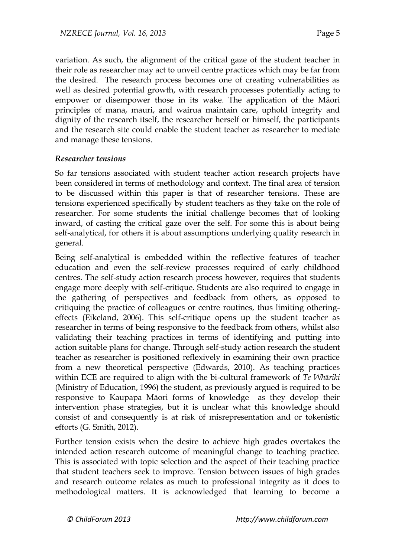variation. As such, the alignment of the critical gaze of the student teacher in their role as researcher may act to unveil centre practices which may be far from the desired. The research process becomes one of creating vulnerabilities as well as desired potential growth, with research processes potentially acting to empower or disempower those in its wake. The application of the Māori

principles of mana, mauri, and wairua maintain care, uphold integrity and dignity of the research itself, the researcher herself or himself, the participants and the research site could enable the student teacher as researcher to mediate and manage these tensions.

### *Researcher tensions*

So far tensions associated with student teacher action research projects have been considered in terms of methodology and context. The final area of tension to be discussed within this paper is that of researcher tensions. These are tensions experienced specifically by student teachers as they take on the role of researcher. For some students the initial challenge becomes that of looking inward, of casting the critical gaze over the self. For some this is about being self-analytical, for others it is about assumptions underlying quality research in general.

Being self-analytical is embedded within the reflective features of teacher education and even the self-review processes required of early childhood centres. The self-study action research process however, requires that students engage more deeply with self-critique. Students are also required to engage in the gathering of perspectives and feedback from others, as opposed to critiquing the practice of colleagues or centre routines, thus limiting otheringeffects (Eikeland, 2006). This self-critique opens up the student teacher as researcher in terms of being responsive to the feedback from others, whilst also validating their teaching practices in terms of identifying and putting into action suitable plans for change. Through self-study action research the student teacher as researcher is positioned reflexively in examining their own practice from a new theoretical perspective (Edwards, 2010). As teaching practices within ECE are required to align with the bi-cultural framework of *Te Wh*ā*riki* (Ministry of Education, 1996) the student, as previously argued is required to be responsive to Kaupapa Māori forms of knowledge as they develop their intervention phase strategies, but it is unclear what this knowledge should consist of and consequently is at risk of misrepresentation and or tokenistic efforts (G. Smith, 2012).

Further tension exists when the desire to achieve high grades overtakes the intended action research outcome of meaningful change to teaching practice. This is associated with topic selection and the aspect of their teaching practice that student teachers seek to improve. Tension between issues of high grades and research outcome relates as much to professional integrity as it does to methodological matters. It is acknowledged that learning to become a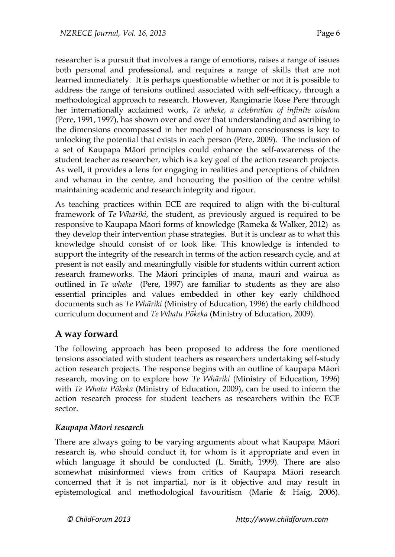researcher is a pursuit that involves a range of emotions, raises a range of issues both personal and professional, and requires a range of skills that are not learned immediately. It is perhaps questionable whether or not it is possible to address the range of tensions outlined associated with self-efficacy, through a methodological approach to research. However, Rangimarie Rose Pere through her internationally acclaimed work, *Te wheke, a celebration of infinite wisdom*  (Pere, 1991, 1997), has shown over and over that understanding and ascribing to the dimensions encompassed in her model of human consciousness is key to unlocking the potential that exists in each person (Pere, 2009). The inclusion of a set of Kaupapa Māori principles could enhance the self-awareness of the student teacher as researcher, which is a key goal of the action research projects. As well, it provides a lens for engaging in realities and perceptions of children and whanau in the centre, and honouring the position of the centre whilst maintaining academic and research integrity and rigour.

As teaching practices within ECE are required to align with the bi-cultural framework of *Te Whāriki*, the student, as previously argued is required to be responsive to Kaupapa Māori forms of knowledge (Rameka & Walker, 2012) as they develop their intervention phase strategies. But it is unclear as to what this knowledge should consist of or look like. This knowledge is intended to support the integrity of the research in terms of the action research cycle, and at present is not easily and meaningfully visible for students within current action research frameworks. The Māori principles of mana, mauri and wairua as outlined in *Te wheke* (Pere, 1997) are familiar to students as they are also essential principles and values embedded in other key early childhood documents such as *Te Whāriki* (Ministry of Education, 1996) the early childhood curriculum document and *Te Whatu Pōkeka* (Ministry of Education, 2009).

## **A way forward**

The following approach has been proposed to address the fore mentioned tensions associated with student teachers as researchers undertaking self-study action research projects. The response begins with an outline of kaupapa Māori research, moving on to explore how *Te Whāriki* (Ministry of Education, 1996) with *Te Whatu Pōkeka* (Ministry of Education, 2009), can be used to inform the action research process for student teachers as researchers within the ECE sector.

#### *Kaupapa Māori research*

There are always going to be varying arguments about what Kaupapa Māori research is, who should conduct it, for whom is it appropriate and even in which language it should be conducted (L. Smith, 1999). There are also somewhat misinformed views from critics of Kaupapa Māori research concerned that it is not impartial, nor is it objective and may result in epistemological and methodological favouritism (Marie & Haig, 2006).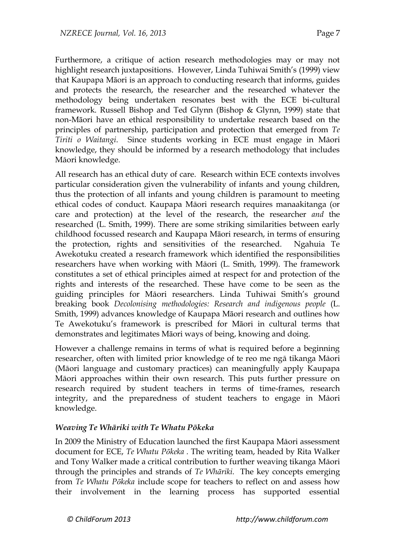Furthermore, a critique of action research methodologies may or may not highlight research juxtapositions. However, Linda Tuhiwai Smith's (1999) view that Kaupapa Māori is an approach to conducting research that informs, guides and protects the research, the researcher and the researched whatever the methodology being undertaken resonates best with the ECE bi-cultural framework. Russell Bishop and Ted Glynn (Bishop & Glynn, 1999) state that non-Māori have an ethical responsibility to undertake research based on the principles of partnership, participation and protection that emerged from *Te Tiriti o Waitangi*. Since students working in ECE must engage in Māori knowledge, they should be informed by a research methodology that includes Māori knowledge.

All research has an ethical duty of care. Research within ECE contexts involves particular consideration given the vulnerability of infants and young children, thus the protection of all infants and young children is paramount to meeting ethical codes of conduct. Kaupapa Māori research requires manaakitanga (or care and protection) at the level of the research, the researcher *and* the researched (L. Smith, 1999). There are some striking similarities between early childhood focussed research and Kaupapa Māori research, in terms of ensuring the protection, rights and sensitivities of the researched. Ngahuia Te Awekotuku created a research framework which identified the responsibilities researchers have when working with Māori (L. Smith, 1999). The framework constitutes a set of ethical principles aimed at respect for and protection of the rights and interests of the researched. These have come to be seen as the guiding principles for Māori researchers. Linda Tuhiwai Smith's ground breaking book *Decolonising methodologies: Research and indigenous people* (L. Smith, 1999) advances knowledge of Kaupapa Māori research and outlines how Te Awekotuku's framework is prescribed for Māori in cultural terms that demonstrates and legitimates Māori ways of being, knowing and doing.

However a challenge remains in terms of what is required before a beginning researcher, often with limited prior knowledge of te reo me ngā tikanga Māori (Māori language and customary practices) can meaningfully apply Kaupapa Māori approaches within their own research. This puts further pressure on research required by student teachers in terms of time-frames, research integrity, and the preparedness of student teachers to engage in Māori knowledge.

#### *Weaving Te Whāriki with Te Whatu Pōkeka*

In 2009 the Ministry of Education launched the first Kaupapa Māori assessment document for ECE, *Te Whatu Pōkeka .* The writing team, headed by Rita Walker and Tony Walker made a critical contribution to further weaving tikanga Māori through the principles and strands of *Te Whāriki.* The key concepts emerging from *Te Whatu Pōkeka* include scope for teachers to reflect on and assess how their involvement in the learning process has supported essential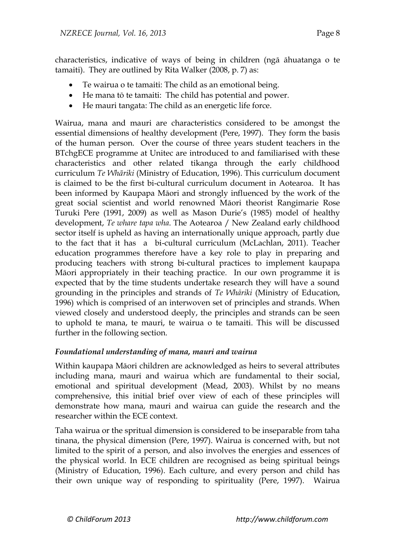characteristics, indicative of ways of being in children (ngā āhuatanga o te tamaiti). They are outlined by Rita Walker (2008, p. 7) as:

- Te wairua o te tamaiti: The child as an emotional being.
- He mana tō te tamaiti: The child has potential and power.
- He mauri tangata: The child as an energetic life force.

Wairua, mana and mauri are characteristics considered to be amongst the essential dimensions of healthy development (Pere, 1997). They form the basis of the human person. Over the course of three years student teachers in the BTchgECE programme at Unitec are introduced to and familiarised with these characteristics and other related tikanga through the early childhood curriculum *Te Whāriki* (Ministry of Education, 1996). This curriculum document is claimed to be the first bi-cultural curriculum document in Aotearoa. It has been informed by Kaupapa Māori and strongly influenced by the work of the great social scientist and world renowned Māori theorist Rangimarie Rose Turuki Pere (1991, 2009) as well as Mason Durie's (1985) model of healthy development, *Te whare tapa wha*. The Aotearoa / New Zealand early childhood sector itself is upheld as having an internationally unique approach, partly due to the fact that it has a bi-cultural curriculum (McLachlan, 2011). Teacher education programmes therefore have a key role to play in preparing and producing teachers with strong bi-cultural practices to implement kaupapa Māori appropriately in their teaching practice. In our own programme it is expected that by the time students undertake research they will have a sound grounding in the principles and strands of *Te Whāriki* (Ministry of Education, 1996) which is comprised of an interwoven set of principles and strands. When viewed closely and understood deeply, the principles and strands can be seen to uphold te mana, te mauri, te wairua o te tamaiti. This will be discussed further in the following section.

### *Foundational understanding of mana, mauri and wairua*

Within kaupapa Māori children are acknowledged as heirs to several attributes including mana, mauri and wairua which are fundamental to their social, emotional and spiritual development (Mead, 2003). Whilst by no means comprehensive, this initial brief over view of each of these principles will demonstrate how mana, mauri and wairua can guide the research and the researcher within the ECE context.

Taha wairua or the spritual dimension is considered to be inseparable from taha tinana, the physical dimension (Pere, 1997). Wairua is concerned with, but not limited to the spirit of a person, and also involves the energies and essences of the physical world. In ECE children are recognised as being spiritual beings (Ministry of Education, 1996). Each culture, and every person and child has their own unique way of responding to spirituality (Pere, 1997). Wairua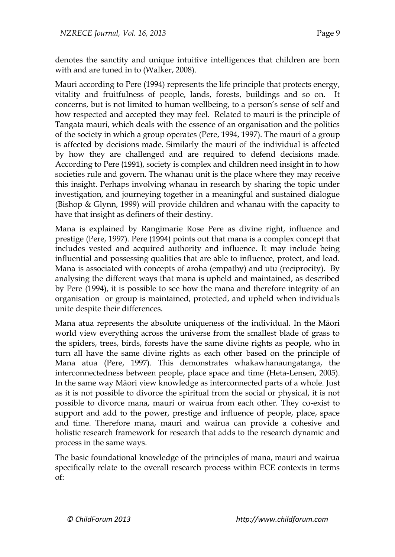denotes the sanctity and unique intuitive intelligences that children are born with and are tuned in to (Walker, 2008).

Mauri according to Pere (1994) represents the life principle that protects energy, vitality and fruitfulness of people, lands, forests, buildings and so on. It concerns, but is not limited to human wellbeing, to a person's sense of self and how respected and accepted they may feel. Related to mauri is the principle of Tangata mauri, which deals with the essence of an organisation and the politics of the society in which a group operates (Pere, 1994, 1997). The mauri of a group is affected by decisions made. Similarly the mauri of the individual is affected by how they are challenged and are required to defend decisions made. According to Pere (1991), society is complex and children need insight in to how societies rule and govern. The whanau unit is the place where they may receive this insight. Perhaps involving whanau in research by sharing the topic under investigation, and journeying together in a meaningful and sustained dialogue (Bishop & Glynn, 1999) will provide children and whanau with the capacity to have that insight as definers of their destiny.

Mana is explained by Rangimarie Rose Pere as divine right, influence and prestige (Pere, 1997). Pere (1994) points out that mana is a complex concept that includes vested and acquired authority and influence. It may include being influential and possessing qualities that are able to influence, protect, and lead. Mana is associated with concepts of aroha (empathy) and utu (reciprocity). By analysing the different ways that mana is upheld and maintained, as described by Pere (1994), it is possible to see how the mana and therefore integrity of an organisation or group is maintained, protected, and upheld when individuals unite despite their differences.

Mana atua represents the absolute uniqueness of the individual. In the Māori world view everything across the universe from the smallest blade of grass to the spiders, trees, birds, forests have the same divine rights as people, who in turn all have the same divine rights as each other based on the principle of Mana atua (Pere, 1997). This demonstrates whakawhanaungatanga, the interconnectedness between people, place space and time (Heta-Lensen, 2005). In the same way Māori view knowledge as interconnected parts of a whole. Just as it is not possible to divorce the spiritual from the social or physical, it is not possible to divorce mana, mauri or wairua from each other. They co-exist to support and add to the power, prestige and influence of people, place, space and time. Therefore mana, mauri and wairua can provide a cohesive and holistic research framework for research that adds to the research dynamic and process in the same ways.

The basic foundational knowledge of the principles of mana, mauri and wairua specifically relate to the overall research process within ECE contexts in terms of: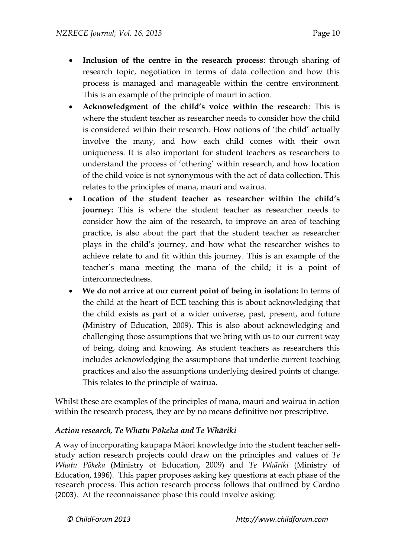- **Inclusion of the centre in the research process**: through sharing of research topic, negotiation in terms of data collection and how this process is managed and manageable within the centre environment. This is an example of the principle of mauri in action.
- **Acknowledgment of the child's voice within the research**: This is where the student teacher as researcher needs to consider how the child is considered within their research. How notions of 'the child' actually involve the many, and how each child comes with their own uniqueness. It is also important for student teachers as researchers to understand the process of 'othering' within research, and how location of the child voice is not synonymous with the act of data collection. This relates to the principles of mana, mauri and wairua.
- **Location of the student teacher as researcher within the child's journey:** This is where the student teacher as researcher needs to consider how the aim of the research, to improve an area of teaching practice, is also about the part that the student teacher as researcher plays in the child's journey, and how what the researcher wishes to achieve relate to and fit within this journey. This is an example of the teacher's mana meeting the mana of the child; it is a point of interconnectedness.
- **We do not arrive at our current point of being in isolation:** In terms of the child at the heart of ECE teaching this is about acknowledging that the child exists as part of a wider universe, past, present, and future (Ministry of Education, 2009). This is also about acknowledging and challenging those assumptions that we bring with us to our current way of being, doing and knowing. As student teachers as researchers this includes acknowledging the assumptions that underlie current teaching practices and also the assumptions underlying desired points of change. This relates to the principle of wairua.

Whilst these are examples of the principles of mana, mauri and wairua in action within the research process, they are by no means definitive nor prescriptive.

#### *Action research, Te Whatu Pōkeka and Te Whāriki*

A way of incorporating kaupapa Māori knowledge into the student teacher selfstudy action research projects could draw on the principles and values of *Te Whatu Pōkeka* (Ministry of Education, 2009) and *Te Whāriki* (Ministry of Education, 1996). This paper proposes asking key questions at each phase of the research process. This action research process follows that outlined by Cardno (2003). At the reconnaissance phase this could involve asking: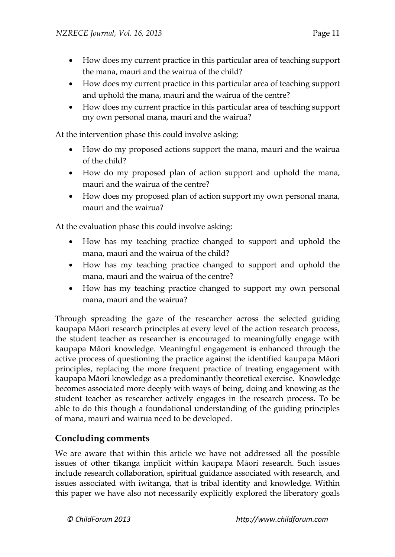- How does my current practice in this particular area of teaching support and uphold the mana, mauri and the wairua of the centre?
- How does my current practice in this particular area of teaching support my own personal mana, mauri and the wairua?

At the intervention phase this could involve asking:

- How do my proposed actions support the mana, mauri and the wairua of the child?
- How do my proposed plan of action support and uphold the mana, mauri and the wairua of the centre?
- How does my proposed plan of action support my own personal mana, mauri and the wairua?

At the evaluation phase this could involve asking:

- How has my teaching practice changed to support and uphold the mana, mauri and the wairua of the child?
- How has my teaching practice changed to support and uphold the mana, mauri and the wairua of the centre?
- How has my teaching practice changed to support my own personal mana, mauri and the wairua?

Through spreading the gaze of the researcher across the selected guiding kaupapa Māori research principles at every level of the action research process, the student teacher as researcher is encouraged to meaningfully engage with kaupapa Māori knowledge. Meaningful engagement is enhanced through the active process of questioning the practice against the identified kaupapa Māori principles, replacing the more frequent practice of treating engagement with kaupapa Māori knowledge as a predominantly theoretical exercise. Knowledge becomes associated more deeply with ways of being, doing and knowing as the student teacher as researcher actively engages in the research process. To be able to do this though a foundational understanding of the guiding principles of mana, mauri and wairua need to be developed.

# **Concluding comments**

We are aware that within this article we have not addressed all the possible issues of other tikanga implicit within kaupapa Māori research. Such issues include research collaboration, spiritual guidance associated with research, and issues associated with iwitanga, that is tribal identity and knowledge. Within this paper we have also not necessarily explicitly explored the liberatory goals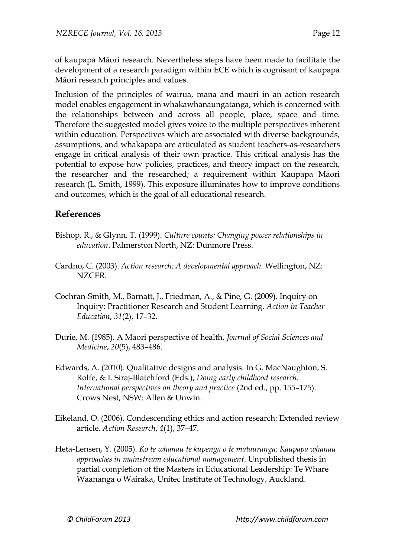of kaupapa Māori research. Nevertheless steps have been made to facilitate the development of a research paradigm within ECE which is cognisant of kaupapa Māori research principles and values.

Inclusion of the principles of wairua, mana and mauri in an action research model enables engagement in whakawhanaungatanga, which is concerned with the relationships between and across all people, place, space and time. Therefore the suggested model gives voice to the multiple perspectives inherent within education. Perspectives which are associated with diverse backgrounds, assumptions, and whakapapa are articulated as student teachers-as-researchers engage in critical analysis of their own practice. This critical analysis has the potential to expose how policies, practices, and theory impact on the research, the researcher and the researched; a requirement within Kaupapa Māori research (L. Smith, 1999). This exposure illuminates how to improve conditions and outcomes, which is the goal of all educational research.

### **References**

- Bishop, R., & Glynn, T. (1999). *Culture counts: Changing power relationships in education*. Palmerston North, NZ: Dunmore Press.
- Cardno, C. (2003). *Action research: A developmental approach*. Wellington, NZ: NZCER.
- Cochran-Smith, M., Barnatt, J., Friedman, A., & Pine, G. (2009). Inquiry on Inquiry: Practitioner Research and Student Learning. *Action in Teacher Education*, *31*(2), 17–32.
- Durie, M. (1985). A Māori perspective of health. *Journal of Social Sciences and Medicine*, *20*(5), 483–486.
- Edwards, A. (2010). Qualitative designs and analysis. In G. MacNaughton, S. Rolfe, & I. Siraj-Blatchford (Eds.), *Doing early childhood research: International perspectives on theory and practice* (2nd ed., pp. 155–175). Crows Nest, NSW: Allen & Unwin.
- Eikeland, O. (2006). Condescending ethics and action research: Extended review article. *Action Research*, *4*(1), 37–47.
- Heta-Lensen, Y. (2005). *Ko te whanau te kupenga o te matauranga: Kaupapa whanau approaches in mainstream educational management*. Unpublished thesis in partial completion of the Masters in Educational Leadership: Te Whare Waananga o Wairaka, Unitec Institute of Technology, Auckland.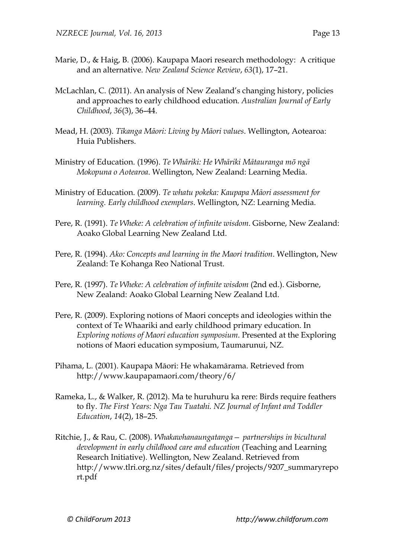- Marie, D., & Haig, B. (2006). Kaupapa Maori research methodology: A critique and an alternative. *New Zealand Science Review*, *63*(1), 17–21.
- McLachlan, C. (2011). An analysis of New Zealand's changing history, policies and approaches to early childhood education. *Australian Journal of Early Childhood*, *36*(3), 36–44.
- Mead, H. (2003). *Tīkanga Māori: Living by Māori values*. Wellington, Aotearoa: Huia Publishers.
- Ministry of Education. (1996). *Te Whāriki: He Whāriki Mātauranga mō ngā Mokopuna o Aotearoa*. Wellington, New Zealand: Learning Media.
- Ministry of Education. (2009). *Te whatu pokeka: Kaupapa Māori assessment for learning. Early childhood exemplars*. Wellington, NZ: Learning Media.
- Pere, R. (1991). *Te Wheke: A celebration of infinite wisdom*. Gisborne, New Zealand: Aoako Global Learning New Zealand Ltd.
- Pere, R. (1994). *Ako: Concepts and learning in the Maori tradition*. Wellington, New Zealand: Te Kohanga Reo National Trust.
- Pere, R. (1997). *Te Wheke: A celebration of infinite wisdom* (2nd ed.). Gisborne, New Zealand: Aoako Global Learning New Zealand Ltd.
- Pere, R. (2009). Exploring notions of Maori concepts and ideologies within the context of Te Whaariki and early childhood primary education. In *Exploring notions of Maori education symposium*. Presented at the Exploring notions of Maori education symposium, Taumarunui, NZ.
- Pihama, L. (2001). Kaupapa Māori: He whakamārama. Retrieved from http://www.kaupapamaori.com/theory/6/
- Rameka, L., & Walker, R. (2012). Ma te huruhuru ka rere: Birds require feathers to fly. *The First Years: Nga Tau Tuatahi. NZ Journal of Infant and Toddler Education*, *14*(2), 18–25.
- Ritchie, J., & Rau, C. (2008). *Whakawhanaungatanga— partnerships in bicultural development in early childhood care and education* (Teaching and Learning Research Initiative). Wellington, New Zealand. Retrieved from http://www.tlri.org.nz/sites/default/files/projects/9207\_summaryrepo rt.pdf